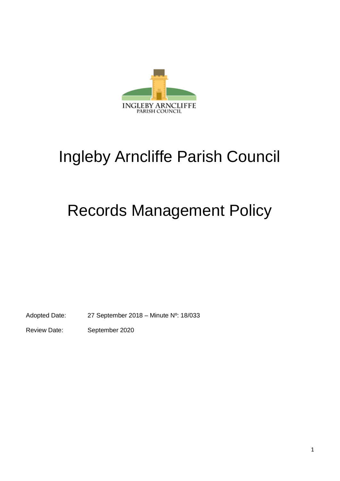

# Ingleby Arncliffe Parish Council

## Records Management Policy

Adopted Date: 27 September 2018 – Minute Nº: 18/033

Review Date: September 2020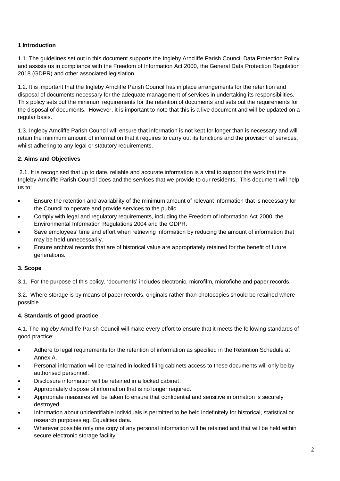## **1 Introduction**

1.1. The guidelines set out in this document supports the Ingleby Arncliffe Parish Council Data Protection Policy and assists us in compliance with the Freedom of Information Act 2000, the General Data Protection Regulation 2018 (GDPR) and other associated legislation.

1.2. It is important that the Ingleby Arncliffe Parish Council has in place arrangements for the retention and disposal of documents necessary for the adequate management of services in undertaking its responsibilities. This policy sets out the minimum requirements for the retention of documents and sets out the requirements for the disposal of documents. However, it is important to note that this is a live document and will be updated on a regular basis.

1.3. Ingleby Arncliffe Parish Council will ensure that information is not kept for longer than is necessary and will retain the minimum amount of information that it requires to carry out its functions and the provision of services, whilst adhering to any legal or statutory requirements.

## **2. Aims and Objectives**

2.1. It is recognised that up to date, reliable and accurate information is a vital to support the work that the Ingleby Arncliffe Parish Council does and the services that we provide to our residents. This document will help us to:

- Ensure the retention and availability of the minimum amount of relevant information that is necessary for the Council to operate and provide services to the public.
- Comply with legal and regulatory requirements, including the Freedom of Information Act 2000, the Environmental Information Regulations 2004 and the GDPR.
- Save employees' time and effort when retrieving information by reducing the amount of information that may be held unnecessarily.
- Ensure archival records that are of historical value are appropriately retained for the benefit of future generations.

## **3. Scope**

3.1. For the purpose of this policy, 'documents' includes electronic, microfilm, microfiche and paper records.

3.2. Where storage is by means of paper records, originals rather than photocopies should be retained where possible.

## **4. Standards of good practice**

4.1. The Ingleby Arncliffe Parish Council will make every effort to ensure that it meets the following standards of good practice:

- Adhere to legal requirements for the retention of information as specified in the Retention Schedule at Annex A.
- Personal information will be retained in locked filing cabinets access to these documents will only be by authorised personnel.
- Disclosure information will be retained in a locked cabinet.
- Appropriately dispose of information that is no longer required.
- Appropriate measures will be taken to ensure that confidential and sensitive information is securely destroyed.
- Information about unidentifiable individuals is permitted to be held indefinitely for historical, statistical or research purposes eg. Equalities data.
- Wherever possible only one copy of any personal information will be retained and that will be held within secure electronic storage facility.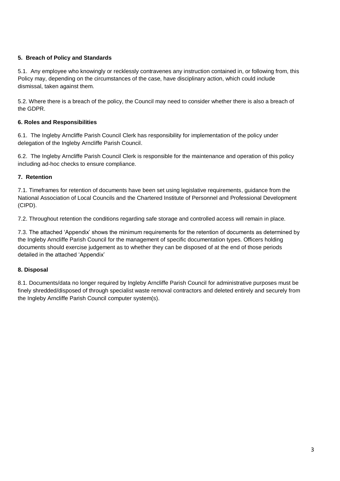## **5. Breach of Policy and Standards**

5.1. Any employee who knowingly or recklessly contravenes any instruction contained in, or following from, this Policy may, depending on the circumstances of the case, have disciplinary action, which could include dismissal, taken against them.

5.2. Where there is a breach of the policy, the Council may need to consider whether there is also a breach of the GDPR.

## **6. Roles and Responsibilities**

6.1. The Ingleby Arncliffe Parish Council Clerk has responsibility for implementation of the policy under delegation of the Ingleby Arncliffe Parish Council.

6.2. The Ingleby Arncliffe Parish Council Clerk is responsible for the maintenance and operation of this policy including ad-hoc checks to ensure compliance.

## **7. Retention**

7.1. Timeframes for retention of documents have been set using legislative requirements, guidance from the National Association of Local Councils and the Chartered Institute of Personnel and Professional Development (CIPD).

7.2. Throughout retention the conditions regarding safe storage and controlled access will remain in place.

7.3. The attached 'Appendix' shows the minimum requirements for the retention of documents as determined by the Ingleby Arncliffe Parish Council for the management of specific documentation types. Officers holding documents should exercise judgement as to whether they can be disposed of at the end of those periods detailed in the attached 'Appendix'

## **8. Disposal**

8.1. Documents/data no longer required by Ingleby Arncliffe Parish Council for administrative purposes must be finely shredded/disposed of through specialist waste removal contractors and deleted entirely and securely from the Ingleby Arncliffe Parish Council computer system(s).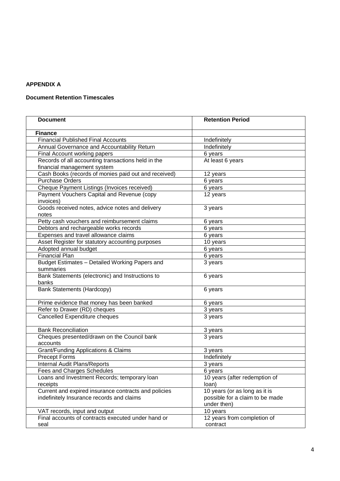#### **APPENDIX A**

## **Document Retention Timescales**

| <b>Document</b>                                             | <b>Retention Period</b>                        |
|-------------------------------------------------------------|------------------------------------------------|
| <b>Finance</b>                                              |                                                |
| <b>Financial Published Final Accounts</b>                   | Indefinitely                                   |
| Annual Governance and Accountability Return                 | Indefinitely                                   |
| Final Account working papers                                | 6 years                                        |
| Records of all accounting transactions held in the          | At least 6 years                               |
| financial management system                                 |                                                |
| Cash Books (records of monies paid out and received)        | 12 years                                       |
| <b>Purchase Orders</b>                                      | 6 years                                        |
| Cheque Payment Listings (Invoices received)                 | 6 years                                        |
| Payment Vouchers Capital and Revenue (copy                  | 12 years                                       |
| invoices)                                                   |                                                |
| Goods received notes, advice notes and delivery             | 3 years                                        |
| notes                                                       |                                                |
| Petty cash vouchers and reimbursement claims                | 6 years                                        |
| Debtors and rechargeable works records                      | 6 years                                        |
| Expenses and travel allowance claims                        | 6 years                                        |
| Asset Register for statutory accounting purposes            | 10 years                                       |
| Adopted annual budget                                       | 6 years                                        |
| <b>Financial Plan</b>                                       | 6 years                                        |
| Budget Estimates - Detailed Working Papers and<br>summaries | 3 years                                        |
| Bank Statements (electronic) and Instructions to<br>banks   | 6 years                                        |
| <b>Bank Statements (Hardcopy)</b>                           | 6 years                                        |
| Prime evidence that money has been banked                   | 6 years                                        |
| Refer to Drawer (RD) cheques                                | 3 years                                        |
| Cancelled Expenditure cheques                               | 3 years                                        |
| <b>Bank Reconciliation</b>                                  | 3 years                                        |
| Cheques presented/drawn on the Council bank<br>accounts     | 3 years                                        |
| <b>Grant/Funding Applications &amp; Claims</b>              | 3 years                                        |
| Precept Forms                                               | Indefinitely                                   |
| <b>Internal Audit Plans/Reports</b>                         | 3 years                                        |
| <b>Fees and Charges Schedules</b>                           | 6 years                                        |
| Loans and Investment Records; temporary loan                | 10 years (after redemption of                  |
| receipts                                                    | loan)                                          |
| Current and expired insurance contracts and policies        | 10 years (or as long as it is                  |
| indefinitely Insurance records and claims                   | possible for a claim to be made<br>under then) |
| VAT records, input and output                               | 10 years                                       |
| Final accounts of contracts executed under hand or          | 12 years from completion of                    |
| seal                                                        | contract                                       |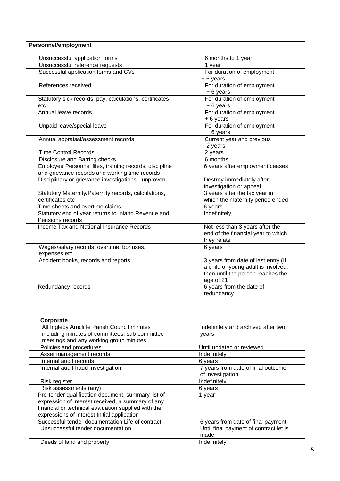| <b>Personnel/employment</b>                                                                              |                                                                                                                              |
|----------------------------------------------------------------------------------------------------------|------------------------------------------------------------------------------------------------------------------------------|
| Unsuccessful application forms                                                                           | 6 months to 1 year                                                                                                           |
| Unsuccessful reference requests                                                                          | 1 year                                                                                                                       |
| Successful application forms and CVs                                                                     | For duration of employment<br>+6 years                                                                                       |
| References received                                                                                      | For duration of employment<br>+6 years                                                                                       |
| Statutory sick records, pay, calculations, certificates<br>etc.                                          | For duration of employment<br>+6 years                                                                                       |
| Annual leave records                                                                                     | For duration of employment<br>+6 years                                                                                       |
| Unpaid leave/special leave                                                                               | For duration of employment<br>+6 years                                                                                       |
| Annual appraisal/assessment records                                                                      | Current year and previous<br>2 years                                                                                         |
| <b>Time Control Records</b>                                                                              | 2 years                                                                                                                      |
| Disclosure and Barring checks                                                                            | 6 months                                                                                                                     |
| Employee Personnel files, training records, discipline<br>and grievance records and working time records | 6 years after employment ceases                                                                                              |
| Disciplinary or grievance investigations - unproven                                                      | Destroy immediately after<br>investigation or appeal                                                                         |
| Statutory Maternity/Paternity records, calculations,<br>certificates etc                                 | 3 years after the tax year in<br>which the maternity period ended                                                            |
| Time sheets and overtime claims                                                                          | 6 years                                                                                                                      |
| Statutory end of year returns to Inland Revenue and<br>Pensions records                                  | Indefinitely                                                                                                                 |
| Income Tax and National Insurance Records                                                                | Not less than 3 years after the<br>end of the financial year to which<br>they relate                                         |
| Wages/salary records, overtime, bonuses,<br>expenses etc                                                 | 6 years                                                                                                                      |
| Accident books, records and reports                                                                      | 3 years from date of last entry (If<br>a child or young adult is involved,<br>then until the person reaches the<br>age of 21 |
| Redundancy records                                                                                       | 6 years from the date of<br>redundancy                                                                                       |

| Corporate                                           |                                        |
|-----------------------------------------------------|----------------------------------------|
| All Ingleby Arncliffe Parish Council minutes        | Indefinitely and archived after two    |
| including minutes of committees, sub-committee      | years                                  |
| meetings and any working group minutes              |                                        |
| Policies and procedures                             | Until updated or reviewed              |
| Asset management records                            | Indefinitely                           |
| Internal audit records                              | 6 years                                |
| Internal audit fraud investigation                  | 7 years from date of final outcome     |
|                                                     | of investigation                       |
| Risk register                                       | Indefinitely                           |
| Risk assessments (any)                              | 6 years                                |
| Pre-tender qualification document, summary list of  | 1 year                                 |
| expression of interest received, a summary of any   |                                        |
| financial or technical evaluation supplied with the |                                        |
| expressions of interest Initial application         |                                        |
| Successful tender documentation Life of contract    | 6 years from date of final payment     |
| Unsuccessful tender documentation                   | Until final payment of contract let is |
|                                                     | made                                   |
| Deeds of land and property                          | Indefinitely                           |
|                                                     |                                        |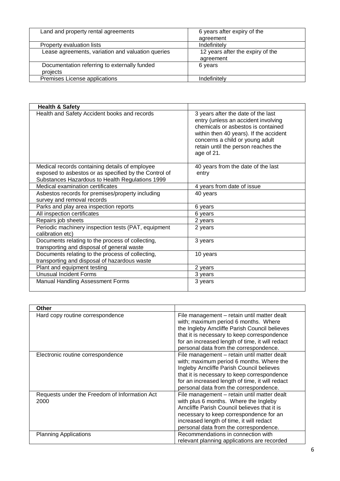| Land and property rental agreements                      | 6 years after expiry of the<br>agreement      |
|----------------------------------------------------------|-----------------------------------------------|
| Property evaluation lists                                | Indefinitely                                  |
| Lease agreements, variation and valuation queries        | 12 years after the expiry of the<br>agreement |
| Documentation referring to externally funded<br>projects | 6 years                                       |
| Premises License applications                            | Indefinitely                                  |

| <b>Health &amp; Safety</b>                                              |                                                                                                                                                                                                                                                   |
|-------------------------------------------------------------------------|---------------------------------------------------------------------------------------------------------------------------------------------------------------------------------------------------------------------------------------------------|
| Health and Safety Accident books and records                            | 3 years after the date of the last<br>entry (unless an accident involving<br>chemicals or asbestos is contained<br>within then 40 years). If the accident<br>concerns a child or young adult<br>retain until the person reaches the<br>age of 21. |
| Medical records containing details of employee                          | 40 years from the date of the last                                                                                                                                                                                                                |
| exposed to asbestos or as specified by the Control of                   | entry                                                                                                                                                                                                                                             |
| Substances Hazardous to Health Regulations 1999                         |                                                                                                                                                                                                                                                   |
| Medical examination certificates                                        | 4 years from date of issue                                                                                                                                                                                                                        |
| Asbestos records for premises/property including                        | 40 years                                                                                                                                                                                                                                          |
| survey and removal records                                              |                                                                                                                                                                                                                                                   |
| Parks and play area inspection reports                                  | 6 years                                                                                                                                                                                                                                           |
| All inspection certificates                                             | 6 years                                                                                                                                                                                                                                           |
| Repairs job sheets                                                      | 2 years                                                                                                                                                                                                                                           |
| Periodic machinery inspection tests (PAT, equipment<br>calibration etc) | 2 years                                                                                                                                                                                                                                           |
| Documents relating to the process of collecting,                        | 3 years                                                                                                                                                                                                                                           |
| transporting and disposal of general waste                              |                                                                                                                                                                                                                                                   |
| Documents relating to the process of collecting,                        | 10 years                                                                                                                                                                                                                                          |
| transporting and disposal of hazardous waste                            |                                                                                                                                                                                                                                                   |
| Plant and equipment testing                                             | 2 years                                                                                                                                                                                                                                           |
| <b>Unusual Incident Forms</b>                                           | 3 years                                                                                                                                                                                                                                           |
| <b>Manual Handling Assessment Forms</b>                                 | 3 years                                                                                                                                                                                                                                           |
|                                                                         |                                                                                                                                                                                                                                                   |

| <b>Other</b>                                          |                                                                                                                                                                                                                                                                                  |
|-------------------------------------------------------|----------------------------------------------------------------------------------------------------------------------------------------------------------------------------------------------------------------------------------------------------------------------------------|
| Hard copy routine correspondence                      | File management - retain until matter dealt<br>with; maximum period 6 months. Where<br>the Ingleby Arncliffe Parish Council believes<br>that it is necessary to keep correspondence<br>for an increased length of time, it will redact<br>personal data from the correspondence. |
| Electronic routine correspondence                     | File management - retain until matter dealt<br>with; maximum period 6 months. Where the<br>Ingleby Arncliffe Parish Council believes<br>that it is necessary to keep correspondence<br>for an increased length of time, it will redact<br>personal data from the correspondence. |
| Requests under the Freedom of Information Act<br>2000 | File management - retain until matter dealt<br>with plus 6 months. Where the Ingleby<br>Arncliffe Parish Council believes that it is<br>necessary to keep correspondence for an<br>increased length of time, it will redact<br>personal data from the correspondence.            |
| <b>Planning Applications</b>                          | Recommendations in connection with<br>relevant planning applications are recorded                                                                                                                                                                                                |